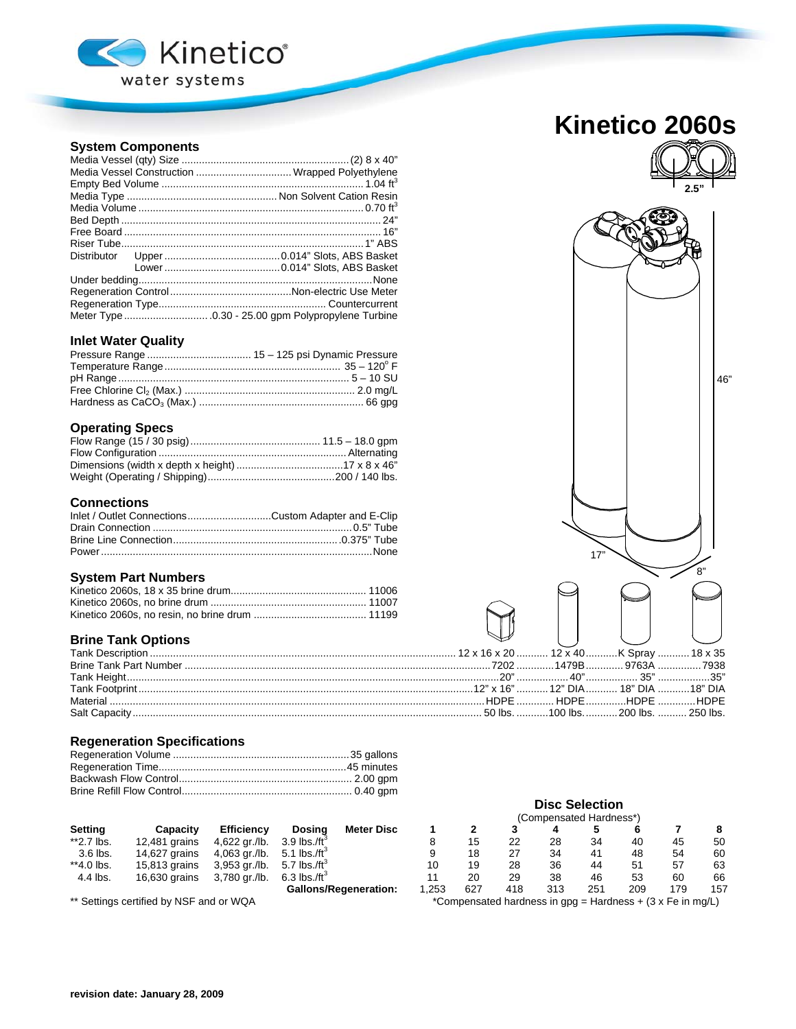

## **System Components**

|  | Media Vessel Construction  Wrapped Polyethylene |
|--|-------------------------------------------------|
|  |                                                 |
|  |                                                 |
|  |                                                 |
|  |                                                 |
|  |                                                 |
|  |                                                 |
|  |                                                 |
|  |                                                 |
|  |                                                 |
|  |                                                 |
|  |                                                 |
|  |                                                 |

## **Inlet Water Quality**

## **Operating Specs**

# **Connections**

| Inlet / Outlet ConnectionsCustom Adapter and E-Clip |  |
|-----------------------------------------------------|--|
|                                                     |  |
|                                                     |  |
|                                                     |  |

### **System Part Numbers**

## **Brine Tank Options**

## **Regeneration Specifications**

|                |                                                                                                                                                                                                                                                                                                                     |                   |                              |      | (Compensated Hardness*) |     |     |     |     |     |     |
|----------------|---------------------------------------------------------------------------------------------------------------------------------------------------------------------------------------------------------------------------------------------------------------------------------------------------------------------|-------------------|------------------------------|------|-------------------------|-----|-----|-----|-----|-----|-----|
| <b>Setting</b> | Capacity                                                                                                                                                                                                                                                                                                            | <b>Efficiency</b> | <b>Meter Disc</b><br>Dosina  |      |                         |     |     |     |     |     |     |
| **2.7 lbs.     | 12.481 grains                                                                                                                                                                                                                                                                                                       | 4,622 gr./lb.     | 3.9 lbs./ft <sup>3</sup>     |      | 15                      | 22  | 28  | 34  | 40  | 45  | 50  |
| 3.6 lbs.       | 14,627 grains                                                                                                                                                                                                                                                                                                       | $4,063$ gr./lb.   | 5.1 lbs./ft <sup>3</sup>     |      | 18                      | 27  | 34  | 41  | 48  | 54  | 60  |
| **4.0 lbs.     | 15,813 grains                                                                                                                                                                                                                                                                                                       | 3,953 gr./lb.     | 5.7 lbs./ft <sup>3</sup>     | 10   | 19                      | 28  | 36  | 44  | 51  | 57  | 63  |
| 4.4 lbs.       | 16,630 grains                                                                                                                                                                                                                                                                                                       | 3,780 gr./lb.     | $6.3$ lbs./ft <sup>3</sup>   |      | 20                      | 29  | 38  | 46  | 53  | 60  | 66  |
|                |                                                                                                                                                                                                                                                                                                                     |                   | <b>Gallons/Regeneration:</b> | .253 | 627                     | 418 | 313 | 251 | 209 | 179 | 157 |
|                | $\frac{1}{2}$ $\frac{1}{2}$ $\frac{1}{2}$ $\frac{1}{2}$ $\frac{1}{2}$ $\frac{1}{2}$ $\frac{1}{2}$ $\frac{1}{2}$ $\frac{1}{2}$ $\frac{1}{2}$ $\frac{1}{2}$ $\frac{1}{2}$ $\frac{1}{2}$ $\frac{1}{2}$ $\frac{1}{2}$ $\frac{1}{2}$ $\frac{1}{2}$ $\frac{1}{2}$ $\frac{1}{2}$ $\frac{1}{2}$ $\frac{1}{2}$ $\frac{1}{2}$ |                   |                              |      |                         |     |     |     |     |     |     |

| <b>Kinetico 2060s</b> |  |
|-----------------------|--|



\*\* Settings certified by NSF and or WQA  $\bullet$  \*Compensated hardness in gpg = Hardness + (3 x Fe in mg/L)

**Disc Selection**